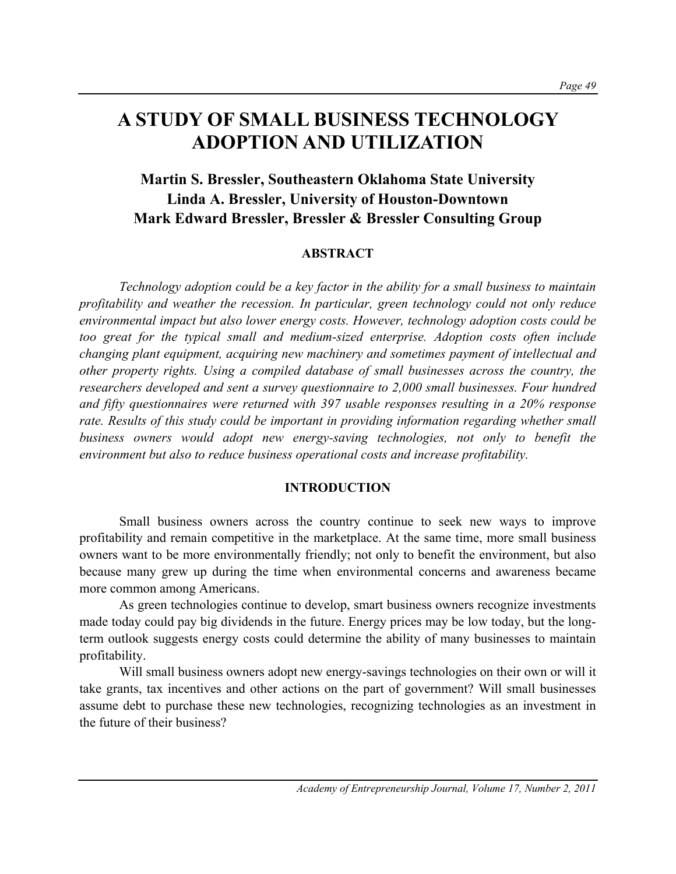# **A STUDY OF SMALL BUSINESS TECHNOLOGY ADOPTION AND UTILIZATION**

## **Martin S. Bressler, Southeastern Oklahoma State University Linda A. Bressler, University of Houston-Downtown Mark Edward Bressler, Bressler & Bressler Consulting Group**

### **ABSTRACT**

*Technology adoption could be a key factor in the ability for a small business to maintain profitability and weather the recession. In particular, green technology could not only reduce environmental impact but also lower energy costs. However, technology adoption costs could be too great for the typical small and medium-sized enterprise. Adoption costs often include changing plant equipment, acquiring new machinery and sometimes payment of intellectual and other property rights. Using a compiled database of small businesses across the country, the researchers developed and sent a survey questionnaire to 2,000 small businesses. Four hundred and fifty questionnaires were returned with 397 usable responses resulting in a 20% response rate. Results of this study could be important in providing information regarding whether small business owners would adopt new energy-saving technologies, not only to benefit the environment but also to reduce business operational costs and increase profitability.* 

#### **INTRODUCTION**

Small business owners across the country continue to seek new ways to improve profitability and remain competitive in the marketplace. At the same time, more small business owners want to be more environmentally friendly; not only to benefit the environment, but also because many grew up during the time when environmental concerns and awareness became more common among Americans.

As green technologies continue to develop, smart business owners recognize investments made today could pay big dividends in the future. Energy prices may be low today, but the longterm outlook suggests energy costs could determine the ability of many businesses to maintain profitability.

Will small business owners adopt new energy-savings technologies on their own or will it take grants, tax incentives and other actions on the part of government? Will small businesses assume debt to purchase these new technologies, recognizing technologies as an investment in the future of their business?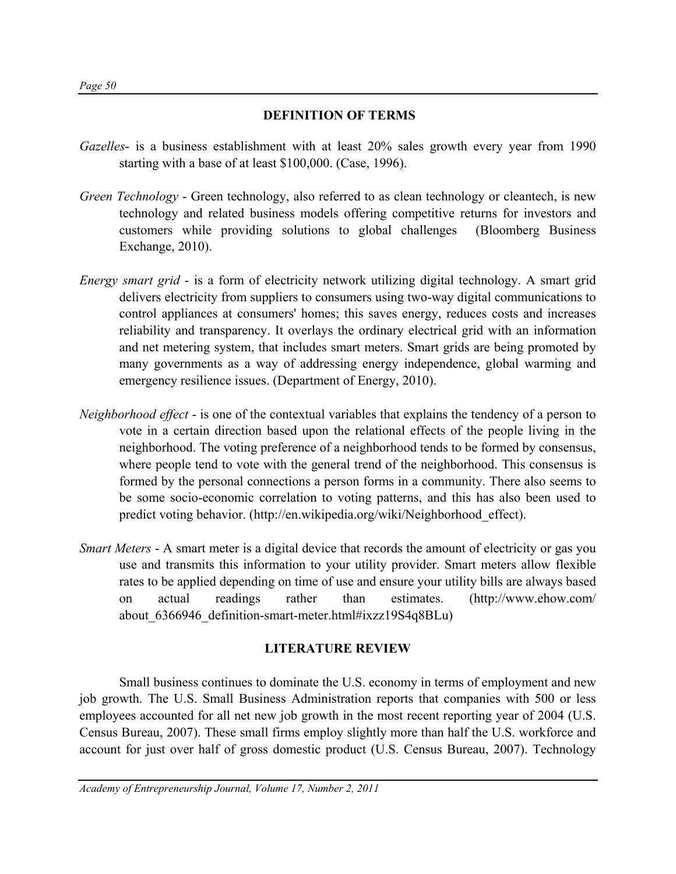### **DEFINITION OF TERMS**

- *Gazelles* is a business establishment with at least 20% sales growth every year from 1990 starting with a base of at least \$100,000. (Case, 1996).
- *Green Technology* Green technology, also referred to as clean technology or cleantech, is new technology and related business models offering competitive returns for investors and customers while providing solutions to global challenges (Bloomberg Business Exchange, 2010).
- *Energy smart grid* is a form of electricity network utilizing digital technology. A smart grid delivers electricity from suppliers to consumers using two-way digital communications to control appliances at consumers' homes; this saves energy, reduces costs and increases reliability and transparency. It overlays the ordinary electrical grid with an information and net metering system, that includes smart meters. Smart grids are being promoted by many governments as a way of addressing energy independence, global warming and emergency resilience issues. (Department of Energy, 2010).
- *Neighborhood effect* is one of the contextual variables that explains the tendency of a person to vote in a certain direction based upon the relational effects of the people living in the neighborhood. The voting preference of a neighborhood tends to be formed by consensus, where people tend to vote with the general trend of the neighborhood. This consensus is formed by the personal connections a person forms in a community. There also seems to be some socio-economic correlation to voting patterns, and this has also been used to predict voting behavior. (http://en.wikipedia.org/wiki/Neighborhood\_effect).
- *Smart Meters* A smart meter is a digital device that records the amount of electricity or gas you use and transmits this information to your utility provider. Smart meters allow flexible rates to be applied depending on time of use and ensure your utility bills are always based on actual readings rather than estimates. (http://www.ehow.com/ about 6366946 definition-smart-meter.html#ixzz19S4q8BLu)

## **LITERATURE REVIEW**

Small business continues to dominate the U.S. economy in terms of employment and new job growth. The U.S. Small Business Administration reports that companies with 500 or less employees accounted for all net new job growth in the most recent reporting year of 2004 (U.S. Census Bureau, 2007). These small firms employ slightly more than half the U.S. workforce and account for just over half of gross domestic product (U.S. Census Bureau, 2007). Technology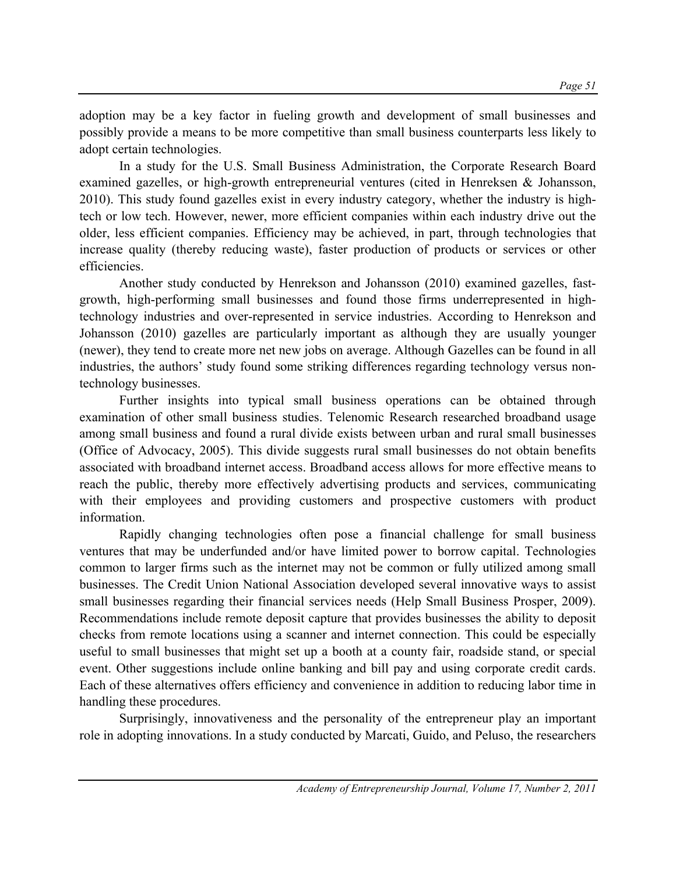adoption may be a key factor in fueling growth and development of small businesses and possibly provide a means to be more competitive than small business counterparts less likely to adopt certain technologies.

In a study for the U.S. Small Business Administration, the Corporate Research Board examined gazelles, or high-growth entrepreneurial ventures (cited in Henreksen & Johansson, 2010). This study found gazelles exist in every industry category, whether the industry is hightech or low tech. However, newer, more efficient companies within each industry drive out the older, less efficient companies. Efficiency may be achieved, in part, through technologies that increase quality (thereby reducing waste), faster production of products or services or other efficiencies.

Another study conducted by Henrekson and Johansson (2010) examined gazelles, fastgrowth, high-performing small businesses and found those firms underrepresented in hightechnology industries and over-represented in service industries. According to Henrekson and Johansson (2010) gazelles are particularly important as although they are usually younger (newer), they tend to create more net new jobs on average. Although Gazelles can be found in all industries, the authors' study found some striking differences regarding technology versus nontechnology businesses.

Further insights into typical small business operations can be obtained through examination of other small business studies. Telenomic Research researched broadband usage among small business and found a rural divide exists between urban and rural small businesses (Office of Advocacy, 2005). This divide suggests rural small businesses do not obtain benefits associated with broadband internet access. Broadband access allows for more effective means to reach the public, thereby more effectively advertising products and services, communicating with their employees and providing customers and prospective customers with product information.

Rapidly changing technologies often pose a financial challenge for small business ventures that may be underfunded and/or have limited power to borrow capital. Technologies common to larger firms such as the internet may not be common or fully utilized among small businesses. The Credit Union National Association developed several innovative ways to assist small businesses regarding their financial services needs (Help Small Business Prosper, 2009). Recommendations include remote deposit capture that provides businesses the ability to deposit checks from remote locations using a scanner and internet connection. This could be especially useful to small businesses that might set up a booth at a county fair, roadside stand, or special event. Other suggestions include online banking and bill pay and using corporate credit cards. Each of these alternatives offers efficiency and convenience in addition to reducing labor time in handling these procedures.

Surprisingly, innovativeness and the personality of the entrepreneur play an important role in adopting innovations. In a study conducted by Marcati, Guido, and Peluso, the researchers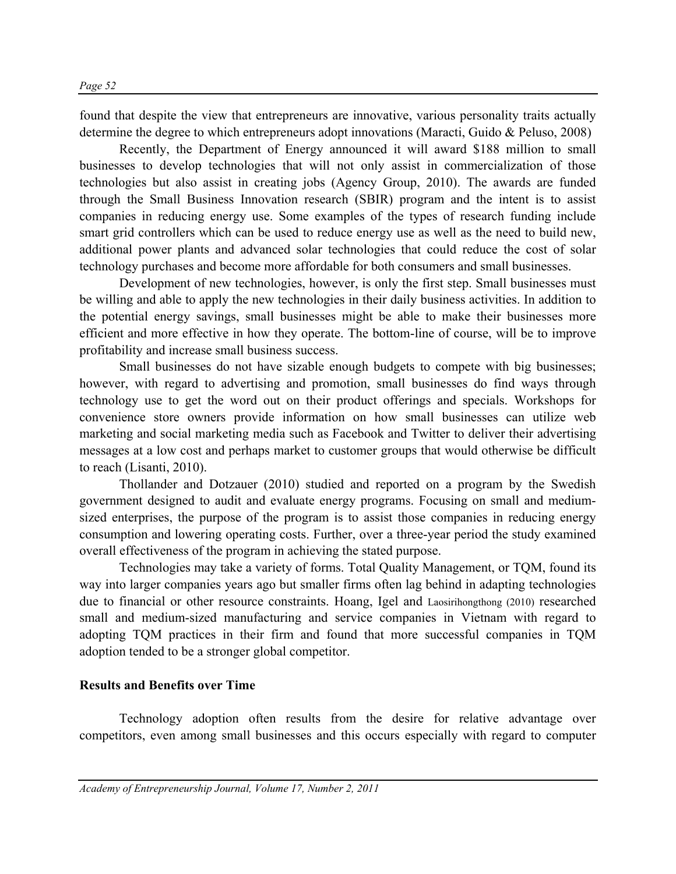found that despite the view that entrepreneurs are innovative, various personality traits actually determine the degree to which entrepreneurs adopt innovations (Maracti, Guido & Peluso, 2008)

Recently, the Department of Energy announced it will award \$188 million to small businesses to develop technologies that will not only assist in commercialization of those technologies but also assist in creating jobs (Agency Group, 2010). The awards are funded through the Small Business Innovation research (SBIR) program and the intent is to assist companies in reducing energy use. Some examples of the types of research funding include smart grid controllers which can be used to reduce energy use as well as the need to build new, additional power plants and advanced solar technologies that could reduce the cost of solar technology purchases and become more affordable for both consumers and small businesses.

Development of new technologies, however, is only the first step. Small businesses must be willing and able to apply the new technologies in their daily business activities. In addition to the potential energy savings, small businesses might be able to make their businesses more efficient and more effective in how they operate. The bottom-line of course, will be to improve profitability and increase small business success.

Small businesses do not have sizable enough budgets to compete with big businesses; however, with regard to advertising and promotion, small businesses do find ways through technology use to get the word out on their product offerings and specials. Workshops for convenience store owners provide information on how small businesses can utilize web marketing and social marketing media such as Facebook and Twitter to deliver their advertising messages at a low cost and perhaps market to customer groups that would otherwise be difficult to reach (Lisanti, 2010).

Thollander and Dotzauer (2010) studied and reported on a program by the Swedish government designed to audit and evaluate energy programs. Focusing on small and mediumsized enterprises, the purpose of the program is to assist those companies in reducing energy consumption and lowering operating costs. Further, over a three-year period the study examined overall effectiveness of the program in achieving the stated purpose.

Technologies may take a variety of forms. Total Quality Management, or TQM, found its way into larger companies years ago but smaller firms often lag behind in adapting technologies due to financial or other resource constraints. Hoang, Igel and Laosirihongthong (2010) researched small and medium-sized manufacturing and service companies in Vietnam with regard to adopting TQM practices in their firm and found that more successful companies in TQM adoption tended to be a stronger global competitor.

#### **Results and Benefits over Time**

Technology adoption often results from the desire for relative advantage over competitors, even among small businesses and this occurs especially with regard to computer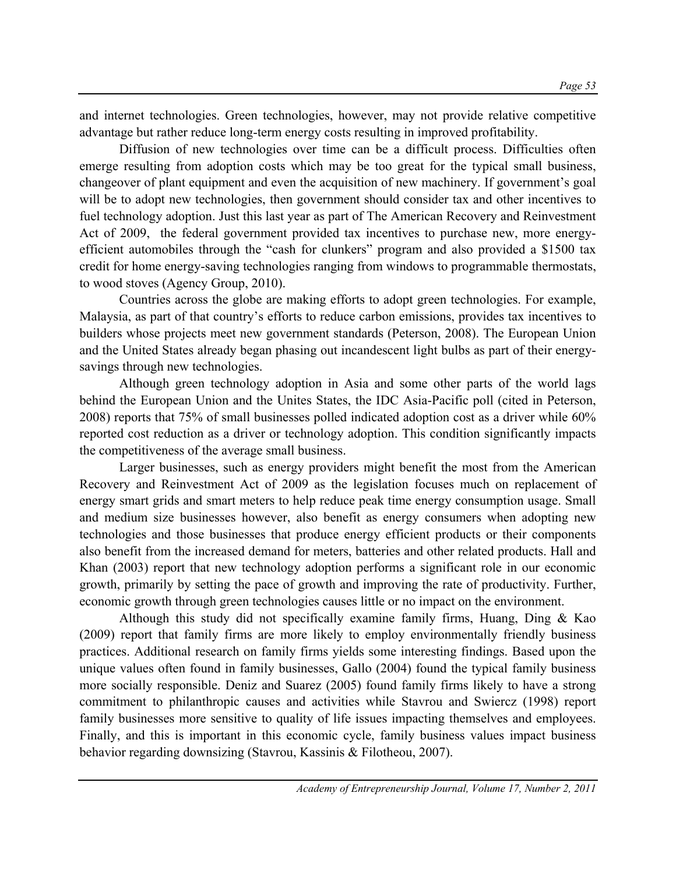and internet technologies. Green technologies, however, may not provide relative competitive advantage but rather reduce long-term energy costs resulting in improved profitability.

Diffusion of new technologies over time can be a difficult process. Difficulties often emerge resulting from adoption costs which may be too great for the typical small business, changeover of plant equipment and even the acquisition of new machinery. If government's goal will be to adopt new technologies, then government should consider tax and other incentives to fuel technology adoption. Just this last year as part of The American Recovery and Reinvestment Act of 2009, the federal government provided tax incentives to purchase new, more energyefficient automobiles through the "cash for clunkers" program and also provided a \$1500 tax credit for home energy-saving technologies ranging from windows to programmable thermostats, to wood stoves (Agency Group, 2010).

Countries across the globe are making efforts to adopt green technologies. For example, Malaysia, as part of that country's efforts to reduce carbon emissions, provides tax incentives to builders whose projects meet new government standards (Peterson, 2008). The European Union and the United States already began phasing out incandescent light bulbs as part of their energysavings through new technologies.

Although green technology adoption in Asia and some other parts of the world lags behind the European Union and the Unites States, the IDC Asia-Pacific poll (cited in Peterson, 2008) reports that 75% of small businesses polled indicated adoption cost as a driver while 60% reported cost reduction as a driver or technology adoption. This condition significantly impacts the competitiveness of the average small business.

Larger businesses, such as energy providers might benefit the most from the American Recovery and Reinvestment Act of 2009 as the legislation focuses much on replacement of energy smart grids and smart meters to help reduce peak time energy consumption usage. Small and medium size businesses however, also benefit as energy consumers when adopting new technologies and those businesses that produce energy efficient products or their components also benefit from the increased demand for meters, batteries and other related products. Hall and Khan (2003) report that new technology adoption performs a significant role in our economic growth, primarily by setting the pace of growth and improving the rate of productivity. Further, economic growth through green technologies causes little or no impact on the environment.

Although this study did not specifically examine family firms, Huang, Ding & Kao (2009) report that family firms are more likely to employ environmentally friendly business practices. Additional research on family firms yields some interesting findings. Based upon the unique values often found in family businesses, Gallo (2004) found the typical family business more socially responsible. Deniz and Suarez (2005) found family firms likely to have a strong commitment to philanthropic causes and activities while Stavrou and Swiercz (1998) report family businesses more sensitive to quality of life issues impacting themselves and employees. Finally, and this is important in this economic cycle, family business values impact business behavior regarding downsizing (Stavrou, Kassinis & Filotheou, 2007).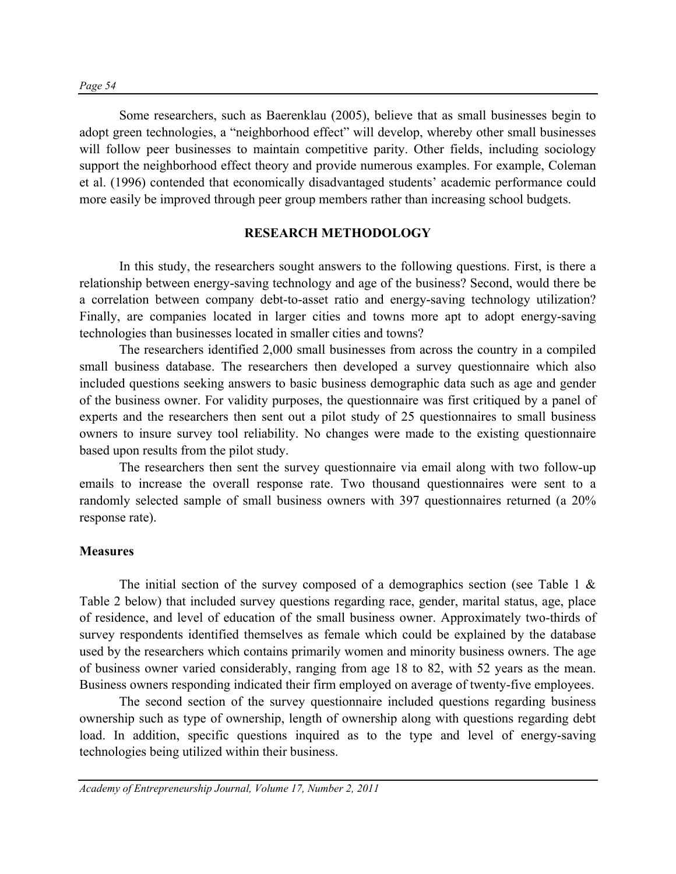Some researchers, such as Baerenklau (2005), believe that as small businesses begin to adopt green technologies, a "neighborhood effect" will develop, whereby other small businesses will follow peer businesses to maintain competitive parity. Other fields, including sociology support the neighborhood effect theory and provide numerous examples. For example, Coleman et al. (1996) contended that economically disadvantaged students' academic performance could more easily be improved through peer group members rather than increasing school budgets.

#### **RESEARCH METHODOLOGY**

In this study, the researchers sought answers to the following questions. First, is there a relationship between energy-saving technology and age of the business? Second, would there be a correlation between company debt-to-asset ratio and energy-saving technology utilization? Finally, are companies located in larger cities and towns more apt to adopt energy-saving technologies than businesses located in smaller cities and towns?

The researchers identified 2,000 small businesses from across the country in a compiled small business database. The researchers then developed a survey questionnaire which also included questions seeking answers to basic business demographic data such as age and gender of the business owner. For validity purposes, the questionnaire was first critiqued by a panel of experts and the researchers then sent out a pilot study of 25 questionnaires to small business owners to insure survey tool reliability. No changes were made to the existing questionnaire based upon results from the pilot study.

The researchers then sent the survey questionnaire via email along with two follow-up emails to increase the overall response rate. Two thousand questionnaires were sent to a randomly selected sample of small business owners with 397 questionnaires returned (a 20% response rate).

#### **Measures**

The initial section of the survey composed of a demographics section (see Table 1  $\&$ Table 2 below) that included survey questions regarding race, gender, marital status, age, place of residence, and level of education of the small business owner. Approximately two-thirds of survey respondents identified themselves as female which could be explained by the database used by the researchers which contains primarily women and minority business owners. The age of business owner varied considerably, ranging from age 18 to 82, with 52 years as the mean. Business owners responding indicated their firm employed on average of twenty-five employees.

 The second section of the survey questionnaire included questions regarding business ownership such as type of ownership, length of ownership along with questions regarding debt load. In addition, specific questions inquired as to the type and level of energy-saving technologies being utilized within their business.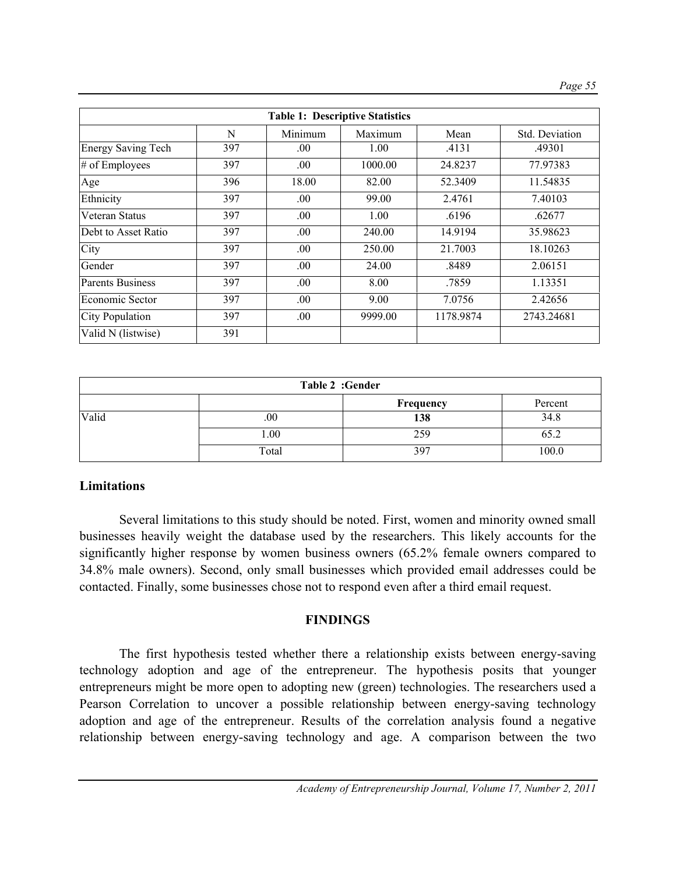| <b>Table 1: Descriptive Statistics</b> |     |         |         |           |                       |
|----------------------------------------|-----|---------|---------|-----------|-----------------------|
|                                        | N   | Minimum | Maximum | Mean      | <b>Std.</b> Deviation |
| <b>Energy Saving Tech</b>              | 397 | .00.    | 1.00    | .4131     | .49301                |
| $#$ of Employees                       | 397 | .00.    | 1000.00 | 24.8237   | 77.97383              |
| Age                                    | 396 | 18.00   | 82.00   | 52.3409   | 11.54835              |
| Ethnicity                              | 397 | .00.    | 99.00   | 2.4761    | 7.40103               |
| Veteran Status                         | 397 | .00.    | 1.00    | .6196     | .62677                |
| Debt to Asset Ratio                    | 397 | .00.    | 240.00  | 14.9194   | 35.98623              |
| City                                   | 397 | .00     | 250.00  | 21.7003   | 18.10263              |
| Gender                                 | 397 | .00     | 24.00   | .8489     | 2.06151               |
| <b>Parents Business</b>                | 397 | .00.    | 8.00    | .7859     | 1.13351               |
| Economic Sector                        | 397 | .00.    | 9.00    | 7.0756    | 2.42656               |
| <b>City Population</b>                 | 397 | .00.    | 9999.00 | 1178.9874 | 2743.24681            |
| Valid N (listwise)                     | 391 |         |         |           |                       |

| Table 2 :Gender |          |           |         |
|-----------------|----------|-----------|---------|
|                 |          | Frequency | Percent |
| Valid           | $_{.00}$ | 138       | 34.8    |
|                 | 1.00     | 259       | 65.2    |
|                 | Total    | 397       | 100.0   |

#### **Limitations**

 Several limitations to this study should be noted. First, women and minority owned small businesses heavily weight the database used by the researchers. This likely accounts for the significantly higher response by women business owners (65.2% female owners compared to 34.8% male owners). Second, only small businesses which provided email addresses could be contacted. Finally, some businesses chose not to respond even after a third email request.

#### **FINDINGS**

The first hypothesis tested whether there a relationship exists between energy-saving technology adoption and age of the entrepreneur. The hypothesis posits that younger entrepreneurs might be more open to adopting new (green) technologies. The researchers used a Pearson Correlation to uncover a possible relationship between energy-saving technology adoption and age of the entrepreneur. Results of the correlation analysis found a negative relationship between energy-saving technology and age. A comparison between the two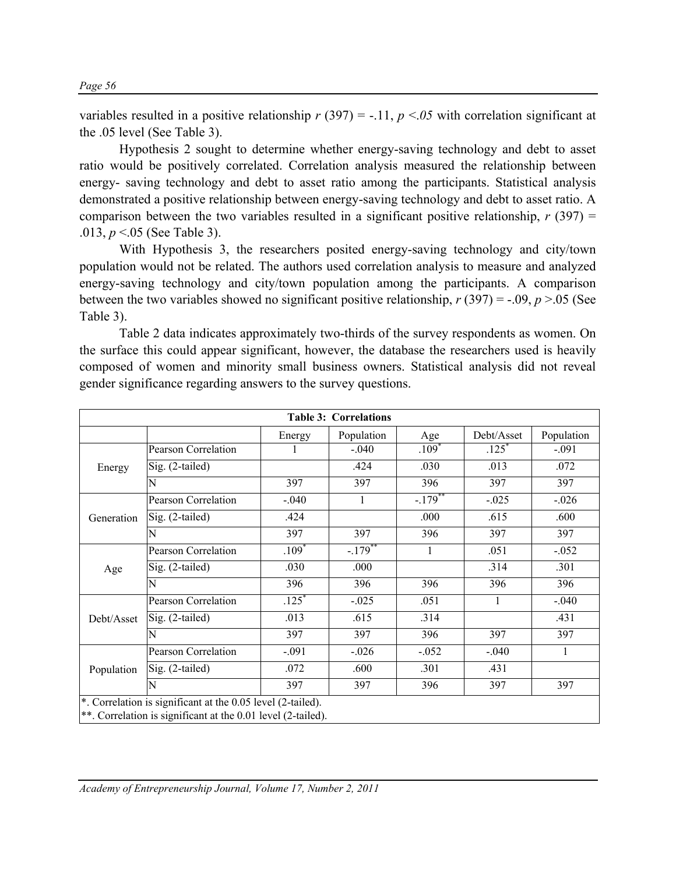variables resulted in a positive relationship  $r(397) = -11$ ,  $p < 05$  with correlation significant at the .05 level (See Table 3).

Hypothesis 2 sought to determine whether energy-saving technology and debt to asset ratio would be positively correlated. Correlation analysis measured the relationship between energy- saving technology and debt to asset ratio among the participants. Statistical analysis demonstrated a positive relationship between energy-saving technology and debt to asset ratio. A comparison between the two variables resulted in a significant positive relationship,  $r(397) =$ .013, *p* <.05 (See Table 3).

 With Hypothesis 3, the researchers posited energy-saving technology and city/town population would not be related. The authors used correlation analysis to measure and analyzed energy-saving technology and city/town population among the participants. A comparison between the two variables showed no significant positive relationship,  $r(397) = -0.09$ ,  $p > 0.05$  (See Table 3).

Table 2 data indicates approximately two-thirds of the survey respondents as women. On the surface this could appear significant, however, the database the researchers used is heavily composed of women and minority small business owners. Statistical analysis did not reveal gender significance regarding answers to the survey questions.

| <b>Table 3: Correlations</b> |                                                                                                                             |         |            |             |                     |              |
|------------------------------|-----------------------------------------------------------------------------------------------------------------------------|---------|------------|-------------|---------------------|--------------|
|                              |                                                                                                                             | Energy  | Population | Age         | Debt/Asset          | Population   |
| Energy                       | Pearson Correlation                                                                                                         |         | $-.040$    | $.109*$     | $.125$ <sup>*</sup> | $-.091$      |
|                              | $Sig. (2-tailed)$                                                                                                           |         | .424       | .030        | .013                | .072         |
|                              | N                                                                                                                           | 397     | 397        | 396         | 397                 | 397          |
|                              | Pearson Correlation                                                                                                         | $-.040$ |            | $-179^{**}$ | $-.025$             | $-0.026$     |
| Generation                   | $Sig. (2-tailed)$                                                                                                           | .424    |            | .000        | .615                | .600         |
|                              | N                                                                                                                           | 397     | 397        | 396         | 397                 | 397          |
|                              | Pearson Correlation                                                                                                         | $.109*$ | $-.179$    | 1           | .051                | $-0.052$     |
| Age                          | Sig. (2-tailed)                                                                                                             | .030    | .000       |             | .314                | .301         |
|                              | N                                                                                                                           | 396     | 396        | 396         | 396                 | 396          |
|                              | Pearson Correlation                                                                                                         | $.125*$ | $-0.025$   | .051        | 1                   | $-.040$      |
| Debt/Asset                   | $Sig. (2-tailed)$                                                                                                           | .013    | .615       | .314        |                     | .431         |
|                              | N                                                                                                                           | 397     | 397        | 396         | 397                 | 397          |
|                              | <b>Pearson Correlation</b>                                                                                                  | $-.091$ | $-0.026$   | $-.052$     | $-.040$             | $\mathbf{1}$ |
| Population                   | Sig. (2-tailed)                                                                                                             | .072    | .600       | .301        | .431                |              |
|                              | N                                                                                                                           | 397     | 397        | 396         | 397                 | 397          |
|                              | *. Correlation is significant at the 0.05 level (2-tailed).<br>**. Correlation is significant at the 0.01 level (2-tailed). |         |            |             |                     |              |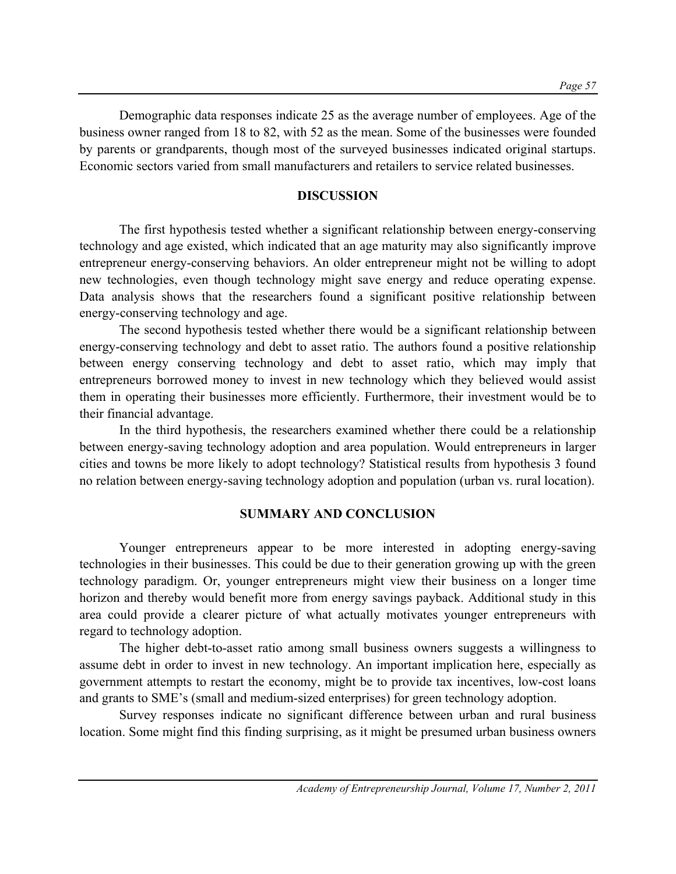Demographic data responses indicate 25 as the average number of employees. Age of the business owner ranged from 18 to 82, with 52 as the mean. Some of the businesses were founded by parents or grandparents, though most of the surveyed businesses indicated original startups. Economic sectors varied from small manufacturers and retailers to service related businesses.

## **DISCUSSION**

The first hypothesis tested whether a significant relationship between energy-conserving technology and age existed, which indicated that an age maturity may also significantly improve entrepreneur energy-conserving behaviors. An older entrepreneur might not be willing to adopt new technologies, even though technology might save energy and reduce operating expense. Data analysis shows that the researchers found a significant positive relationship between energy-conserving technology and age.

 The second hypothesis tested whether there would be a significant relationship between energy-conserving technology and debt to asset ratio. The authors found a positive relationship between energy conserving technology and debt to asset ratio, which may imply that entrepreneurs borrowed money to invest in new technology which they believed would assist them in operating their businesses more efficiently. Furthermore, their investment would be to their financial advantage.

 In the third hypothesis, the researchers examined whether there could be a relationship between energy-saving technology adoption and area population. Would entrepreneurs in larger cities and towns be more likely to adopt technology? Statistical results from hypothesis 3 found no relation between energy-saving technology adoption and population (urban vs. rural location).

## **SUMMARY AND CONCLUSION**

Younger entrepreneurs appear to be more interested in adopting energy-saving technologies in their businesses. This could be due to their generation growing up with the green technology paradigm. Or, younger entrepreneurs might view their business on a longer time horizon and thereby would benefit more from energy savings payback. Additional study in this area could provide a clearer picture of what actually motivates younger entrepreneurs with regard to technology adoption.

The higher debt-to-asset ratio among small business owners suggests a willingness to assume debt in order to invest in new technology. An important implication here, especially as government attempts to restart the economy, might be to provide tax incentives, low-cost loans and grants to SME's (small and medium-sized enterprises) for green technology adoption.

Survey responses indicate no significant difference between urban and rural business location. Some might find this finding surprising, as it might be presumed urban business owners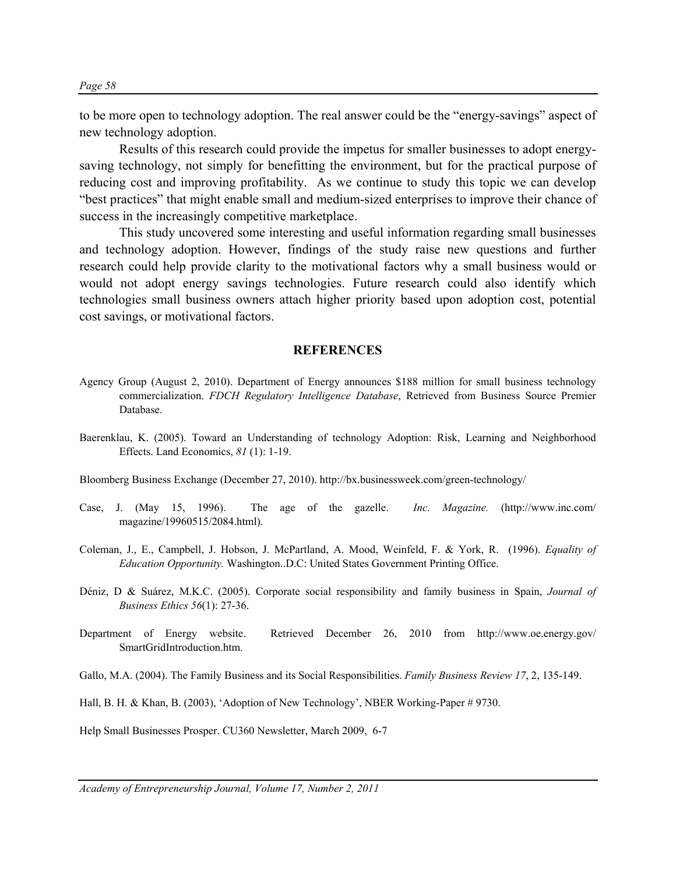to be more open to technology adoption. The real answer could be the "energy-savings" aspect of new technology adoption.

Results of this research could provide the impetus for smaller businesses to adopt energysaving technology, not simply for benefitting the environment, but for the practical purpose of reducing cost and improving profitability. As we continue to study this topic we can develop "best practices" that might enable small and medium-sized enterprises to improve their chance of success in the increasingly competitive marketplace.

This study uncovered some interesting and useful information regarding small businesses and technology adoption. However, findings of the study raise new questions and further research could help provide clarity to the motivational factors why a small business would or would not adopt energy savings technologies. Future research could also identify which technologies small business owners attach higher priority based upon adoption cost, potential cost savings, or motivational factors.

#### **REFERENCES**

- Agency Group (August 2, 2010). Department of Energy announces \$188 million for small business technology commercialization. *FDCH Regulatory Intelligence Database*, Retrieved from Business Source Premier Database.
- Baerenklau, K. (2005). Toward an Understanding of technology Adoption: Risk, Learning and Neighborhood Effects. Land Economics, *81* (1): 1-19.

Bloomberg Business Exchange (December 27, 2010). http://bx.businessweek.com/green-technology/

- Case, J. (May 15, 1996). The age of the gazelle. *Inc. Magazine.* (http://www.inc.com/ magazine/19960515/2084.html).
- Coleman, J., E., Campbell, J. Hobson, J. McPartland, A. Mood, Weinfeld, F. & York, R. (1996). *Equality of Education Opportunity.* Washington..D.C: United States Government Printing Office.
- Déniz, D & Suárez, M.K.C. (2005). Corporate social responsibility and family business in Spain, *Journal of Business Ethics 56*(1): 27-36.
- Department of Energy website. Retrieved December 26, 2010 from http://www.oe.energy.gov/ SmartGridIntroduction.htm.

Gallo, M.A. (2004). The Family Business and its Social Responsibilities. *Family Business Review 17*, 2, 135-149.

Hall, B. H. & Khan, B. (2003), 'Adoption of New Technology', NBER Working-Paper # 9730.

Help Small Businesses Prosper. CU360 Newsletter, March 2009, 6-7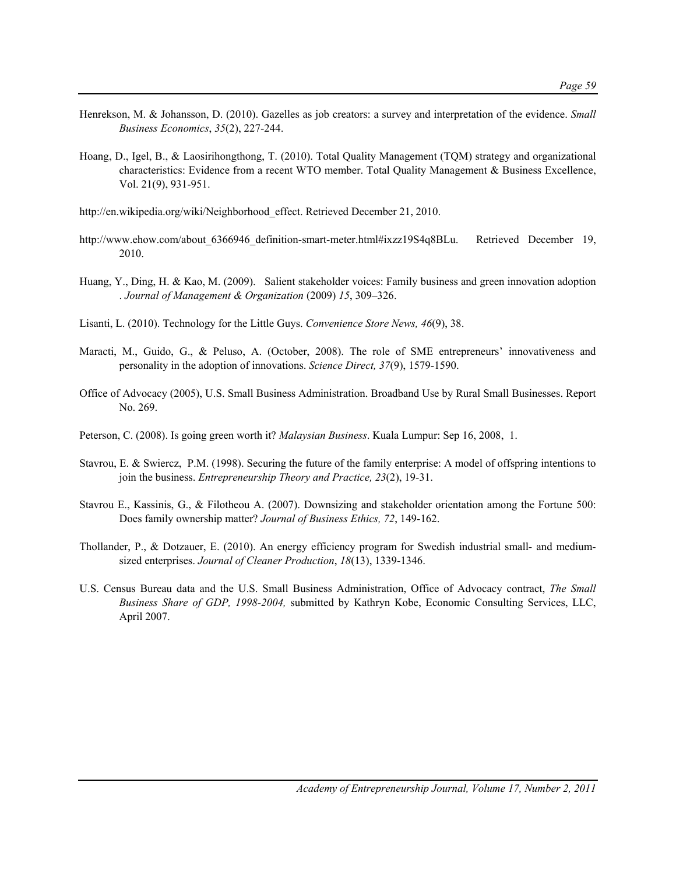- Henrekson, M. & Johansson, D. (2010). Gazelles as job creators: a survey and interpretation of the evidence. *Small Business Economics*, *35*(2), 227-244.
- Hoang, D., Igel, B., & Laosirihongthong, T. (2010). Total Quality Management (TQM) strategy and organizational characteristics: Evidence from a recent WTO member. Total Quality Management & Business Excellence, Vol. 21(9), 931-951.
- http://en.wikipedia.org/wiki/Neighborhood\_effect. Retrieved December 21, 2010.
- http://www.ehow.com/about 6366946 definition-smart-meter.html#ixzz19S4q8BLu. Retrieved December 19, 2010.
- Huang, Y., Ding, H. & Kao, M. (2009). Salient stakeholder voices: Family business and green innovation adoption . *Journal of Management & Organization* (2009) *15*, 309–326.
- Lisanti, L. (2010). Technology for the Little Guys. *Convenience Store News, 46*(9), 38.
- Maracti, M., Guido, G., & Peluso, A. (October, 2008). The role of SME entrepreneurs' innovativeness and personality in the adoption of innovations. *Science Direct, 37*(9), 1579-1590.
- Office of Advocacy (2005), U.S. Small Business Administration. Broadband Use by Rural Small Businesses. Report No. 269.
- Peterson, C. (2008). Is going green worth it? *Malaysian Business*. Kuala Lumpur: Sep 16, 2008, 1.
- Stavrou, E. & Swiercz, P.M. (1998). Securing the future of the family enterprise: A model of offspring intentions to join the business. *Entrepreneurship Theory and Practice, 23*(2), 19-31.
- Stavrou E., Kassinis, G., & Filotheou A. (2007). Downsizing and stakeholder orientation among the Fortune 500: Does family ownership matter? *Journal of Business Ethics, 72*, 149-162.
- Thollander, P., & Dotzauer, E. (2010). An energy efficiency program for Swedish industrial small- and mediumsized enterprises. *Journal of Cleaner Production*, *18*(13), 1339-1346.
- U.S. Census Bureau data and the U.S. Small Business Administration, Office of Advocacy contract, *The Small Business Share of GDP, 1998-2004,* submitted by Kathryn Kobe, Economic Consulting Services, LLC, April 2007.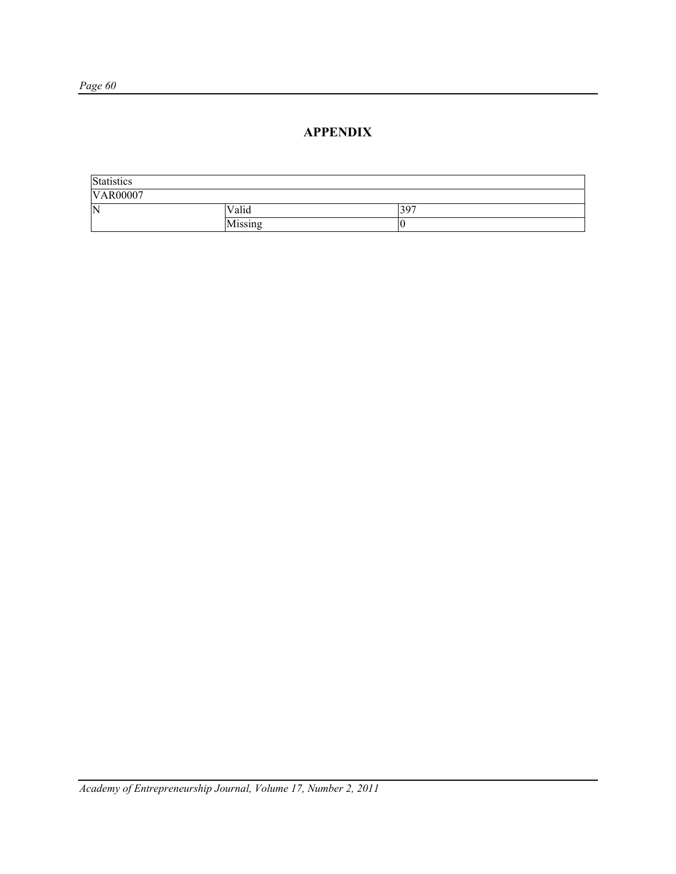## **APPENDIX**

| Statistics      |         |     |  |
|-----------------|---------|-----|--|
| <b>VAR00007</b> |         |     |  |
| ΙN              | Valid   | 397 |  |
|                 | Missing |     |  |